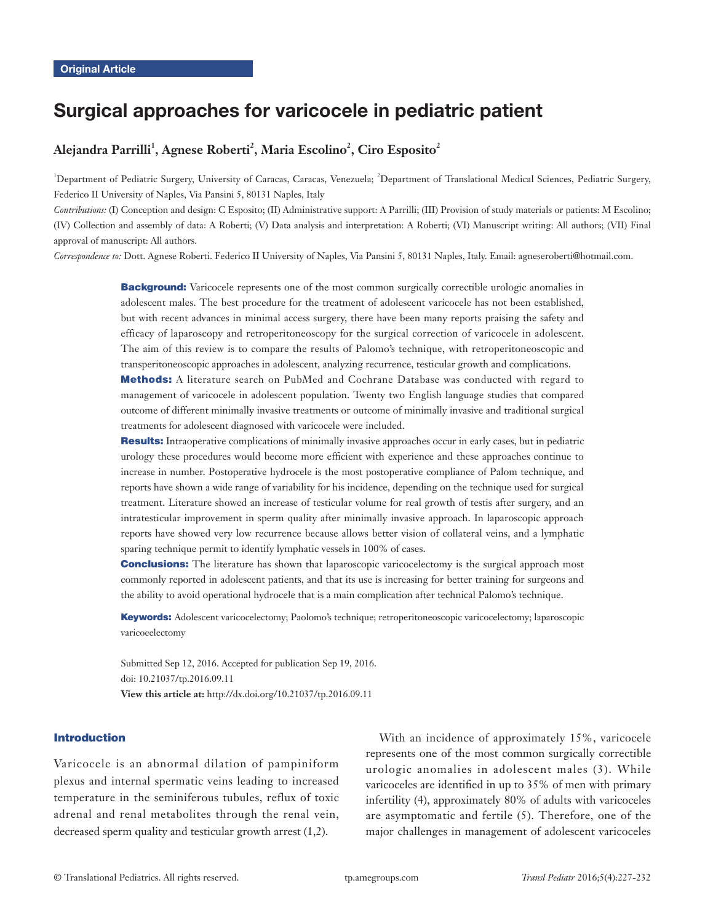# Surgical approaches for varicocele in pediatric patient

# $\mathbf{A}$ lejandra Parrilli<sup>1</sup>, Agnese Roberti<sup>2</sup>, Maria Escolino<sup>2</sup>, Ciro Esposito<sup>2</sup>

<sup>1</sup>Department of Pediatric Surgery, University of Caracas, Caracas, Venezuela; <sup>2</sup>Department of Translational Medical Sciences, Pediatric Surgery, Federico II University of Naples, Via Pansini 5, 80131 Naples, Italy

*Contributions:* (I) Conception and design: C Esposito; (II) Administrative support: A Parrilli; (III) Provision of study materials or patients: M Escolino; (IV) Collection and assembly of data: A Roberti; (V) Data analysis and interpretation: A Roberti; (VI) Manuscript writing: All authors; (VII) Final approval of manuscript: All authors.

*Correspondence to:* Dott. Agnese Roberti. Federico II University of Naples, Via Pansini 5, 80131 Naples, Italy. Email: agneseroberti@hotmail.com.

**Background:** Varicocele represents one of the most common surgically correctible urologic anomalies in adolescent males. The best procedure for the treatment of adolescent varicocele has not been established, but with recent advances in minimal access surgery, there have been many reports praising the safety and efficacy of laparoscopy and retroperitoneoscopy for the surgical correction of varicocele in adolescent. The aim of this review is to compare the results of Palomo's technique, with retroperitoneoscopic and transperitoneoscopic approaches in adolescent, analyzing recurrence, testicular growth and complications.

Methods: A literature search on PubMed and Cochrane Database was conducted with regard to management of varicocele in adolescent population. Twenty two English language studies that compared outcome of different minimally invasive treatments or outcome of minimally invasive and traditional surgical treatments for adolescent diagnosed with varicocele were included.

Results: Intraoperative complications of minimally invasive approaches occur in early cases, but in pediatric urology these procedures would become more efficient with experience and these approaches continue to increase in number. Postoperative hydrocele is the most postoperative compliance of Palom technique, and reports have shown a wide range of variability for his incidence, depending on the technique used for surgical treatment. Literature showed an increase of testicular volume for real growth of testis after surgery, and an intratesticular improvement in sperm quality after minimally invasive approach. In laparoscopic approach reports have showed very low recurrence because allows better vision of collateral veins, and a lymphatic sparing technique permit to identify lymphatic vessels in 100% of cases.

**Conclusions:** The literature has shown that laparoscopic varicocelectomy is the surgical approach most commonly reported in adolescent patients, and that its use is increasing for better training for surgeons and the ability to avoid operational hydrocele that is a main complication after technical Palomo's technique.

Keywords: Adolescent varicocelectomy; Paolomo's technique; retroperitoneoscopic varicocelectomy; laparoscopic varicocelectomy

Submitted Sep 12, 2016. Accepted for publication Sep 19, 2016. doi: 10.21037/tp.2016.09.11 **View this article at:** http://dx.doi.org/10.21037/tp.2016.09.11

#### Introduction

Varicocele is an abnormal dilation of pampiniform plexus and internal spermatic veins leading to increased temperature in the seminiferous tubules, reflux of toxic adrenal and renal metabolites through the renal vein, decreased sperm quality and testicular growth arrest (1,2).

With an incidence of approximately 15%, varicocele represents one of the most common surgically correctible urologic anomalies in adolescent males (3). While varicoceles are identified in up to 35% of men with primary infertility (4), approximately 80% of adults with varicoceles are asymptomatic and fertile (5). Therefore, one of the major challenges in management of adolescent varicoceles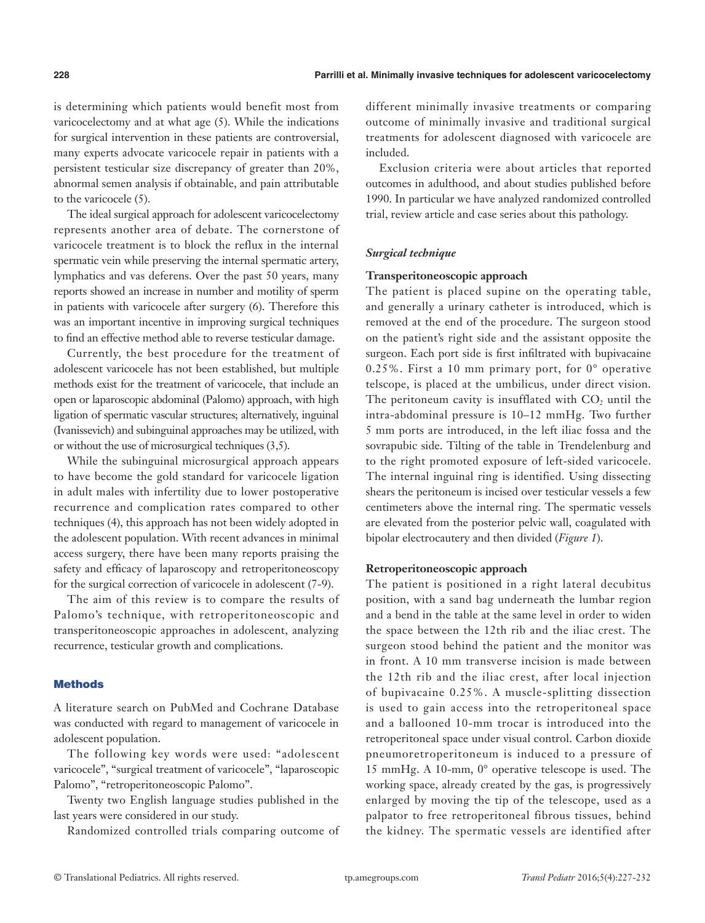is determining which patients would benefit most from varicocelectomy and at what age (5). While the indications for surgical intervention in these patients are controversial, many experts advocate varicocele repair in patients with a persistent testicular size discrepancy of greater than 20%, abnormal semen analysis if obtainable, and pain attributable to the varicocele (5).

The ideal surgical approach for adolescent varicocelectomy represents another area of debate. The cornerstone of varicocele treatment is to block the reflux in the internal spermatic vein while preserving the internal spermatic artery, lymphatics and vas deferens. Over the past 50 years, many reports showed an increase in number and motility of sperm in patients with varicocele after surgery (6). Therefore this was an important incentive in improving surgical techniques to find an effective method able to reverse testicular damage.

Currently, the best procedure for the treatment of adolescent varicocele has not been established, but multiple methods exist for the treatment of varicocele, that include an open or laparoscopic abdominal (Palomo) approach, with high ligation of spermatic vascular structures; alternatively, inguinal (Ivanissevich) and subinguinal approaches may be utilized, with or without the use of microsurgical techniques (3,5).

While the subinguinal microsurgical approach appears to have become the gold standard for varicocele ligation in adult males with infertility due to lower postoperative recurrence and complication rates compared to other techniques (4), this approach has not been widely adopted in the adolescent population. With recent advances in minimal access surgery, there have been many reports praising the safety and efficacy of laparoscopy and retroperitoneoscopy for the surgical correction of varicocele in adolescent (7-9).

The aim of this review is to compare the results of Palomo's technique, with retroperitoneoscopic and transperitoneoscopic approaches in adolescent, analyzing recurrence, testicular growth and complications.

#### Methods

A literature search on PubMed and Cochrane Database was conducted with regard to management of varicocele in adolescent population.

The following key words were used: "adolescent varicocele", "surgical treatment of varicocele", "laparoscopic Palomo", "retroperitoneoscopic Palomo".

Twenty two English language studies published in the last years were considered in our study.

Randomized controlled trials comparing outcome of

different minimally invasive treatments or comparing outcome of minimally invasive and traditional surgical treatments for adolescent diagnosed with varicocele are included.

Exclusion criteria were about articles that reported outcomes in adulthood, and about studies published before 1990. In particular we have analyzed randomized controlled trial, review article and case series about this pathology.

## *Surgical technique*

#### **Transperitoneoscopic approach**

The patient is placed supine on the operating table, and generally a urinary catheter is introduced, which is removed at the end of the procedure. The surgeon stood on the patient's right side and the assistant opposite the surgeon. Each port side is first infiltrated with bupivacaine 0.25%. First a 10 mm primary port, for 0° operative telscope, is placed at the umbilicus, under direct vision. The peritoneum cavity is insufflated with CO<sub>2</sub> until the intra-abdominal pressure is 10–12 mmHg. Two further 5 mm ports are introduced, in the left iliac fossa and the sovrapubic side. Tilting of the table in Trendelenburg and to the right promoted exposure of left-sided varicocele. The internal inguinal ring is identified. Using dissecting shears the peritoneum is incised over testicular vessels a few centimeters above the internal ring. The spermatic vessels are elevated from the posterior pelvic wall, coagulated with bipolar electrocautery and then divided (*Figure 1*).

## **Retroperitoneoscopic approach**

The patient is positioned in a right lateral decubitus position, with a sand bag underneath the lumbar region and a bend in the table at the same level in order to widen the space between the 12th rib and the iliac crest. The surgeon stood behind the patient and the monitor was in front. A 10 mm transverse incision is made between the 12th rib and the iliac crest, after local injection of bupivacaine 0.25%. A muscle-splitting dissection is used to gain access into the retroperitoneal space and a ballooned 10-mm trocar is introduced into the retroperitoneal space under visual control. Carbon dioxide pneumoretroperitoneum is induced to a pressure of 15 mmHg. A 10-mm, 0° operative telescope is used. The working space, already created by the gas, is progressively enlarged by moving the tip of the telescope, used as a palpator to free retroperitoneal fibrous tissues, behind the kidney. The spermatic vessels are identified after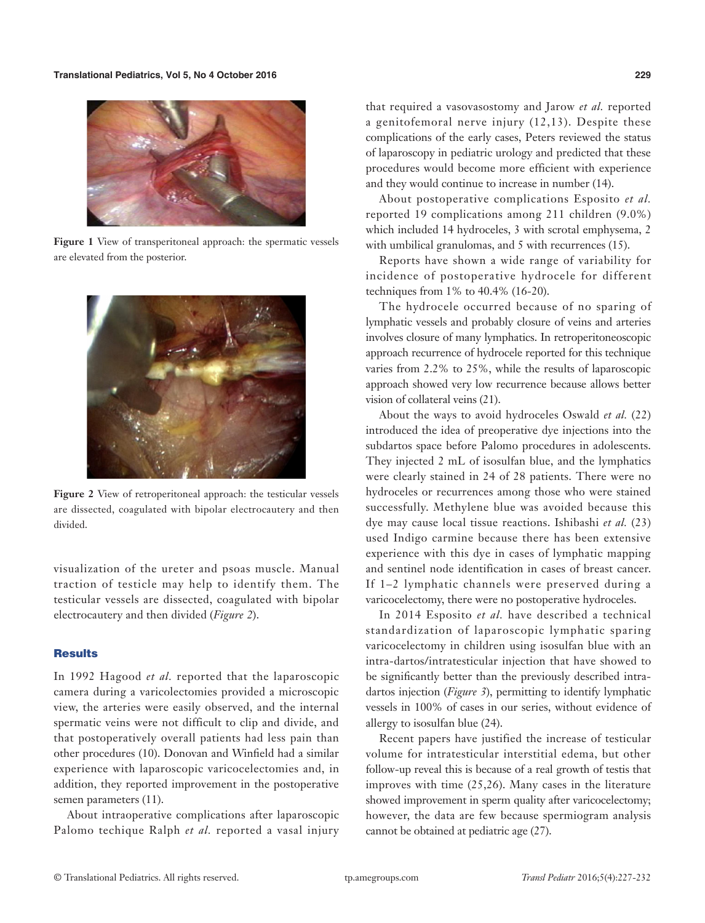

**Figure 1** View of transperitoneal approach: the spermatic vessels are elevated from the posterior.



**Figure 2** View of retroperitoneal approach: the testicular vessels are dissected, coagulated with bipolar electrocautery and then divided.

visualization of the ureter and psoas muscle. Manual traction of testicle may help to identify them. The testicular vessels are dissected, coagulated with bipolar electrocautery and then divided (*Figure 2*).

#### **Results**

In 1992 Hagood *et al.* reported that the laparoscopic camera during a varicolectomies provided a microscopic view, the arteries were easily observed, and the internal spermatic veins were not difficult to clip and divide, and that postoperatively overall patients had less pain than other procedures (10). Donovan and Winfield had a similar experience with laparoscopic varicocelectomies and, in addition, they reported improvement in the postoperative semen parameters (11).

About intraoperative complications after laparoscopic Palomo techique Ralph *et al.* reported a vasal injury

that required a vasovasostomy and Jarow *et al.* reported a genitofemoral nerve injury (12,13). Despite these complications of the early cases, Peters reviewed the status of laparoscopy in pediatric urology and predicted that these procedures would become more efficient with experience and they would continue to increase in number (14).

About postoperative complications Esposito *et al.* reported 19 complications among 211 children (9.0%) which included 14 hydroceles, 3 with scrotal emphysema, 2 with umbilical granulomas, and 5 with recurrences (15).

Reports have shown a wide range of variability for incidence of postoperative hydrocele for different techniques from 1% to 40.4% (16-20).

The hydrocele occurred because of no sparing of lymphatic vessels and probably closure of veins and arteries involves closure of many lymphatics. In retroperitoneoscopic approach recurrence of hydrocele reported for this technique varies from 2.2% to 25%, while the results of laparoscopic approach showed very low recurrence because allows better vision of collateral veins (21).

About the ways to avoid hydroceles Oswald *et al.* (22) introduced the idea of preoperative dye injections into the subdartos space before Palomo procedures in adolescents. They injected 2 mL of isosulfan blue, and the lymphatics were clearly stained in 24 of 28 patients. There were no hydroceles or recurrences among those who were stained successfully. Methylene blue was avoided because this dye may cause local tissue reactions. Ishibashi *et al.* (23) used Indigo carmine because there has been extensive experience with this dye in cases of lymphatic mapping and sentinel node identification in cases of breast cancer. If 1–2 lymphatic channels were preserved during a varicocelectomy, there were no postoperative hydroceles.

In 2014 Esposito *et al.* have described a technical standardization of laparoscopic lymphatic sparing varicocelectomy in children using isosulfan blue with an intra-dartos/intratesticular injection that have showed to be significantly better than the previously described intradartos injection (*Figure 3*), permitting to identify lymphatic vessels in 100% of cases in our series, without evidence of allergy to isosulfan blue (24).

Recent papers have justified the increase of testicular volume for intratesticular interstitial edema, but other follow-up reveal this is because of a real growth of testis that improves with time (25,26). Many cases in the literature showed improvement in sperm quality after varicocelectomy; however, the data are few because spermiogram analysis cannot be obtained at pediatric age (27).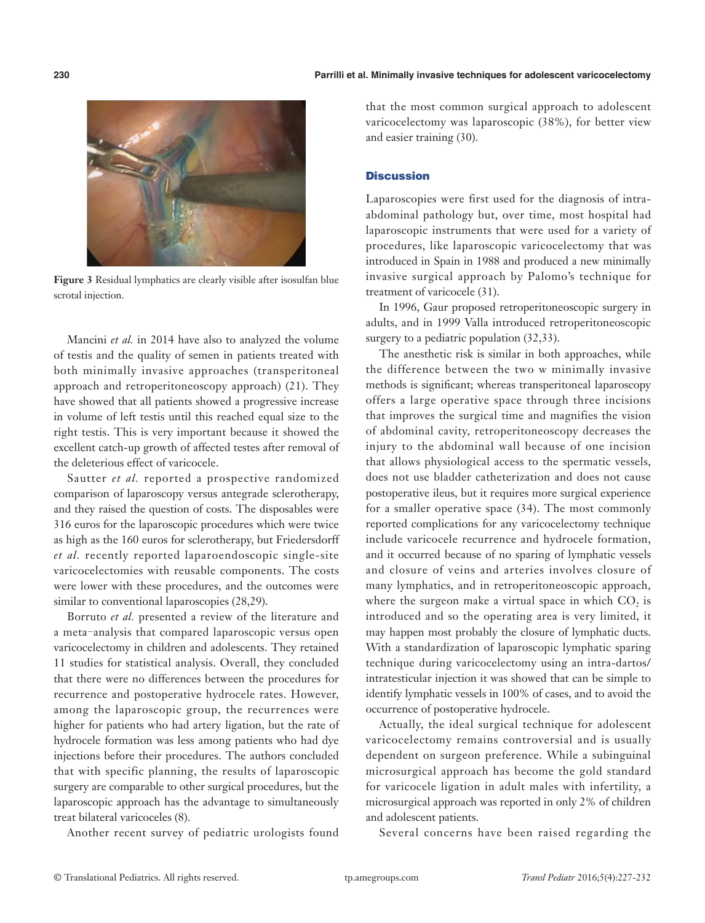

**Figure 3** Residual lymphatics are clearly visible after isosulfan blue scrotal injection.

Mancini *et al.* in 2014 have also to analyzed the volume of testis and the quality of semen in patients treated with both minimally invasive approaches (transperitoneal approach and retroperitoneoscopy approach) (21). They have showed that all patients showed a progressive increase in volume of left testis until this reached equal size to the right testis. This is very important because it showed the excellent catch-up growth of affected testes after removal of the deleterious effect of varicocele.

Sautter *et al.* reported a prospective randomized comparison of laparoscopy versus antegrade sclerotherapy, and they raised the question of costs. The disposables were 316 euros for the laparoscopic procedures which were twice as high as the 160 euros for sclerotherapy, but Friedersdorff *et al.* recently reported laparoendoscopic single-site varicocelectomies with reusable components. The costs were lower with these procedures, and the outcomes were similar to conventional laparoscopies (28,29).

Borruto *et al.* presented a review of the literature and a meta‑analysis that compared laparoscopic versus open varicocelectomy in children and adolescents. They retained 11 studies for statistical analysis. Overall, they concluded that there were no differences between the procedures for recurrence and postoperative hydrocele rates. However, among the laparoscopic group, the recurrences were higher for patients who had artery ligation, but the rate of hydrocele formation was less among patients who had dye injections before their procedures. The authors concluded that with specific planning, the results of laparoscopic surgery are comparable to other surgical procedures, but the laparoscopic approach has the advantage to simultaneously treat bilateral varicoceles (8).

Another recent survey of pediatric urologists found

that the most common surgical approach to adolescent varicocelectomy was laparoscopic (38%), for better view and easier training (30).

## **Discussion**

Laparoscopies were first used for the diagnosis of intraabdominal pathology but, over time, most hospital had laparoscopic instruments that were used for a variety of procedures, like laparoscopic varicocelectomy that was introduced in Spain in 1988 and produced a new minimally invasive surgical approach by Palomo's technique for treatment of varicocele (31).

In 1996, Gaur proposed retroperitoneoscopic surgery in adults, and in 1999 Valla introduced retroperitoneoscopic surgery to a pediatric population  $(32,33)$ .

The anesthetic risk is similar in both approaches, while the difference between the two w minimally invasive methods is significant; whereas transperitoneal laparoscopy offers a large operative space through three incisions that improves the surgical time and magnifies the vision of abdominal cavity, retroperitoneoscopy decreases the injury to the abdominal wall because of one incision that allows physiological access to the spermatic vessels, does not use bladder catheterization and does not cause postoperative ileus, but it requires more surgical experience for a smaller operative space (34). The most commonly reported complications for any varicocelectomy technique include varicocele recurrence and hydrocele formation, and it occurred because of no sparing of lymphatic vessels and closure of veins and arteries involves closure of many lymphatics, and in retroperitoneoscopic approach, where the surgeon make a virtual space in which  $CO<sub>2</sub>$  is introduced and so the operating area is very limited, it may happen most probably the closure of lymphatic ducts. With a standardization of laparoscopic lymphatic sparing technique during varicocelectomy using an intra-dartos/ intratesticular injection it was showed that can be simple to identify lymphatic vessels in 100% of cases, and to avoid the occurrence of postoperative hydrocele.

Actually, the ideal surgical technique for adolescent varicocelectomy remains controversial and is usually dependent on surgeon preference. While a subinguinal microsurgical approach has become the gold standard for varicocele ligation in adult males with infertility, a microsurgical approach was reported in only 2% of children and adolescent patients.

Several concerns have been raised regarding the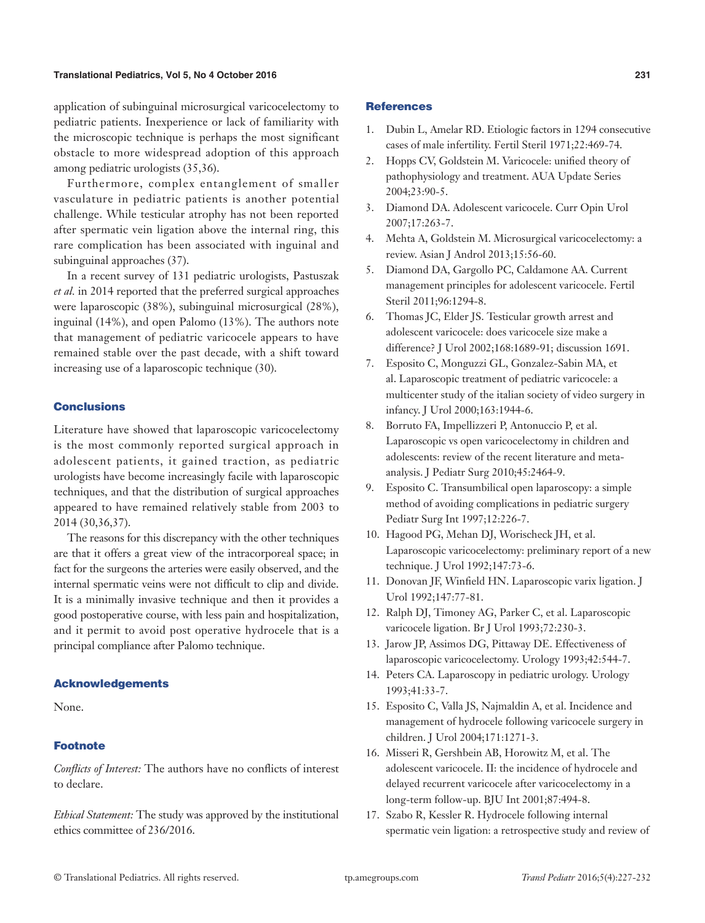#### **Translational Pediatrics, Vol 5, No 4 October 2016 231**

application of subinguinal microsurgical varicocelectomy to pediatric patients. Inexperience or lack of familiarity with the microscopic technique is perhaps the most significant obstacle to more widespread adoption of this approach among pediatric urologists (35,36).

Furthermore, complex entanglement of smaller vasculature in pediatric patients is another potential challenge. While testicular atrophy has not been reported after spermatic vein ligation above the internal ring, this rare complication has been associated with inguinal and subinguinal approaches (37).

In a recent survey of 131 pediatric urologists, Pastuszak *et al.* in 2014 reported that the preferred surgical approaches were laparoscopic (38%), subinguinal microsurgical (28%), inguinal (14%), and open Palomo (13%). The authors note that management of pediatric varicocele appears to have remained stable over the past decade, with a shift toward increasing use of a laparoscopic technique (30).

## **Conclusions**

Literature have showed that laparoscopic varicocelectomy is the most commonly reported surgical approach in adolescent patients, it gained traction, as pediatric urologists have become increasingly facile with laparoscopic techniques, and that the distribution of surgical approaches appeared to have remained relatively stable from 2003 to 2014 (30,36,37).

The reasons for this discrepancy with the other techniques are that it offers a great view of the intracorporeal space; in fact for the surgeons the arteries were easily observed, and the internal spermatic veins were not difficult to clip and divide. It is a minimally invasive technique and then it provides a good postoperative course, with less pain and hospitalization, and it permit to avoid post operative hydrocele that is a principal compliance after Palomo technique.

#### Acknowledgements

None.

## Footnote

*Conflicts of Interest:* The authors have no conflicts of interest to declare.

*Ethical Statement:* The study was approved by the institutional ethics committee of 236/2016.

#### **References**

- 1. Dubin L, Amelar RD. Etiologic factors in 1294 consecutive cases of male infertility. Fertil Steril 1971;22:469-74.
- 2. Hopps CV, Goldstein M. Varicocele: unified theory of pathophysiology and treatment. AUA Update Series 2004;23:90-5.
- 3. Diamond DA. Adolescent varicocele. Curr Opin Urol 2007;17:263-7.
- 4. Mehta A, Goldstein M. Microsurgical varicocelectomy: a review. Asian J Androl 2013;15:56-60.
- 5. Diamond DA, Gargollo PC, Caldamone AA. Current management principles for adolescent varicocele. Fertil Steril 2011;96:1294-8.
- 6. Thomas JC, Elder JS. Testicular growth arrest and adolescent varicocele: does varicocele size make a difference? J Urol 2002;168:1689-91; discussion 1691.
- 7. Esposito C, Monguzzi GL, Gonzalez-Sabin MA, et al. Laparoscopic treatment of pediatric varicocele: a multicenter study of the italian society of video surgery in infancy. J Urol 2000;163:1944-6.
- 8. Borruto FA, Impellizzeri P, Antonuccio P, et al. Laparoscopic vs open varicocelectomy in children and adolescents: review of the recent literature and metaanalysis. J Pediatr Surg 2010;45:2464-9.
- 9. Esposito C. Transumbilical open laparoscopy: a simple method of avoiding complications in pediatric surgery Pediatr Surg Int 1997;12:226-7.
- 10. Hagood PG, Mehan DJ, Worischeck JH, et al. Laparoscopic varicocelectomy: preliminary report of a new technique. J Urol 1992;147:73-6.
- 11. Donovan JF, Winfield HN. Laparoscopic varix ligation. J Urol 1992;147:77-81.
- 12. Ralph DJ, Timoney AG, Parker C, et al. Laparoscopic varicocele ligation. Br J Urol 1993;72:230-3.
- 13. Jarow JP, Assimos DG, Pittaway DE. Effectiveness of laparoscopic varicocelectomy. Urology 1993;42:544-7.
- 14. Peters CA. Laparoscopy in pediatric urology. Urology 1993;41:33-7.
- 15. Esposito C, Valla JS, Najmaldin A, et al. Incidence and management of hydrocele following varicocele surgery in children. J Urol 2004;171:1271-3.
- 16. Misseri R, Gershbein AB, Horowitz M, et al. The adolescent varicocele. II: the incidence of hydrocele and delayed recurrent varicocele after varicocelectomy in a long-term follow-up. BJU Int 2001;87:494-8.
- 17. Szabo R, Kessler R. Hydrocele following internal spermatic vein ligation: a retrospective study and review of